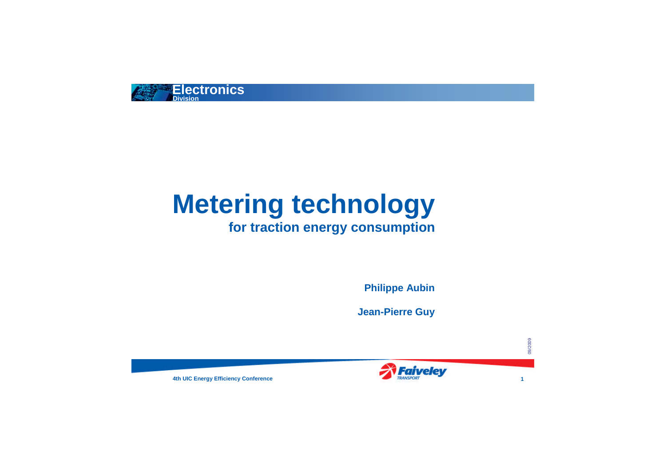





# **Metering technology for traction energy consumption**

**Philippe Aubin**

**Jean-Pierre Guy**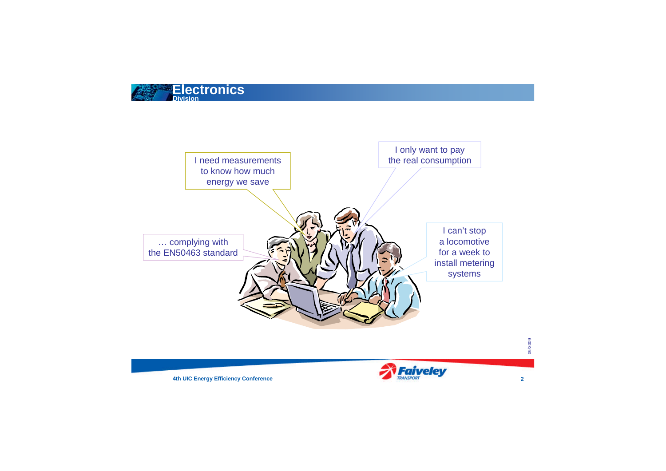





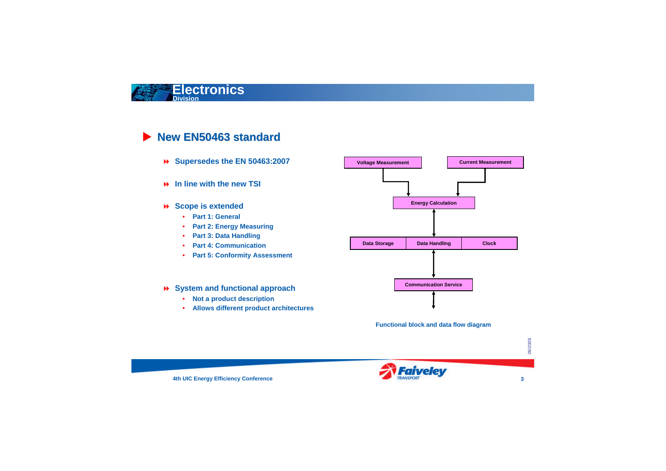



## **New EN50463 standard**

- **Supersedes the EN 50463:2007**
- **In line with the new TSI**
- **Scope is extended**
	- **Part 1: General**
	- **Part 2: Energy Measuring**
	- **Part 3: Data Handling**
	- **Part 4: Communication**
	- **Part 5: Conformity Assessment**

#### **System and functional approach**

- **Not a product description**
- **Allows different product architectures**

**Functional block and data flow diagram**

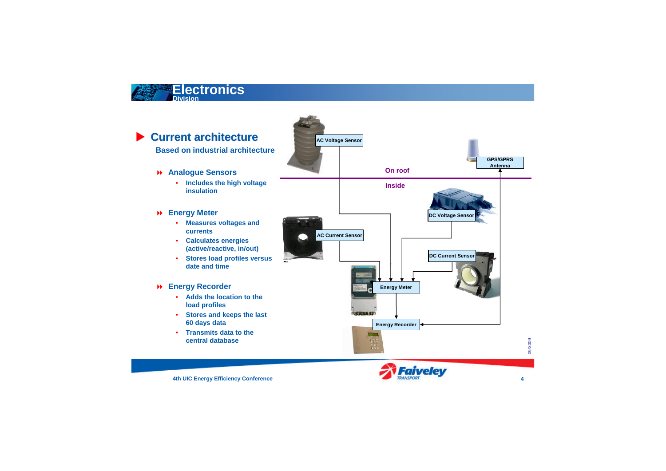







## **Current architecture**

**Based on industrial architecture**

- **Analogue Sensors**
	- **Includes the high voltage insulation**

#### **Energy Meter**

- **Measures voltages and currents**
- **Calculates energies (active/reactive, in/out)**
- **Stores load profiles versus date and time**

#### **Energy Recorder**

- **Adds the location to the load profiles**
- **Stores and keeps the last 60 days data**
- **Transmits data to the central database**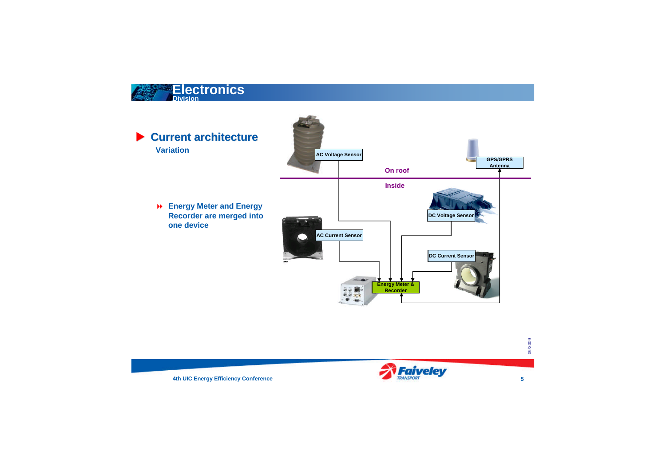





### **Current architecture Variation**

 **Energy Meter and Energy Recorder are merged into one device**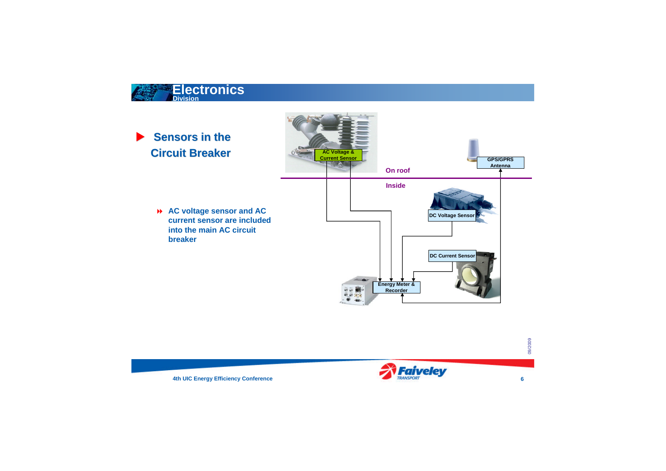





## **Sensors in the Circuit Breaker**

 **AC voltage sensor and AC current sensor are included into the main AC circuit breaker**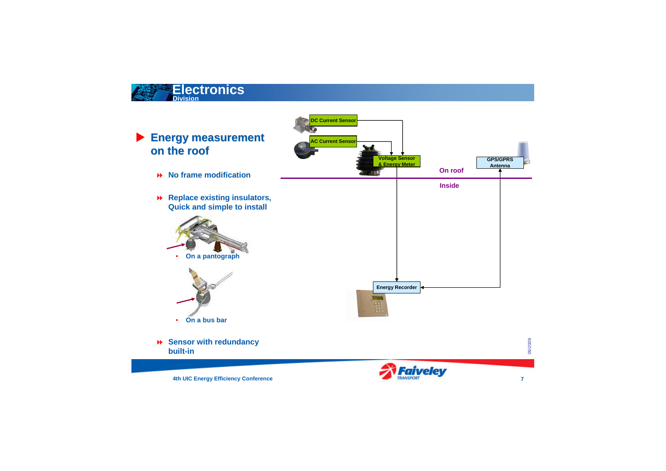





**4th UIC Energy Efficiency Conference 7** 



## **Energy measurement on the roof**

- **No frame modification**
- **Replace existing insulators, Quick and simple to install**





 **Sensor with redundancy built-in**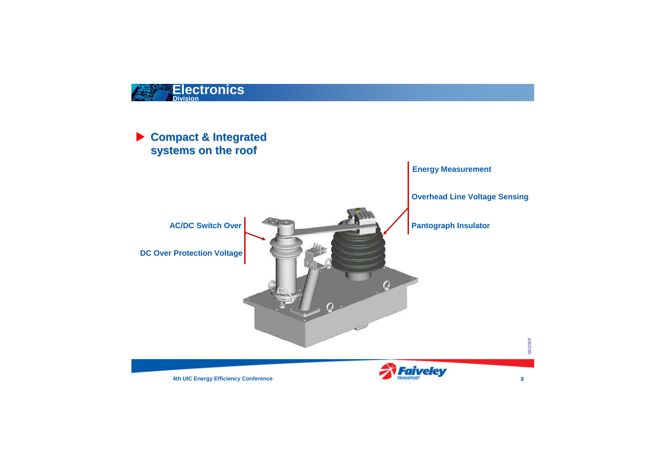





## **Compact & Integrated systems on the roof**